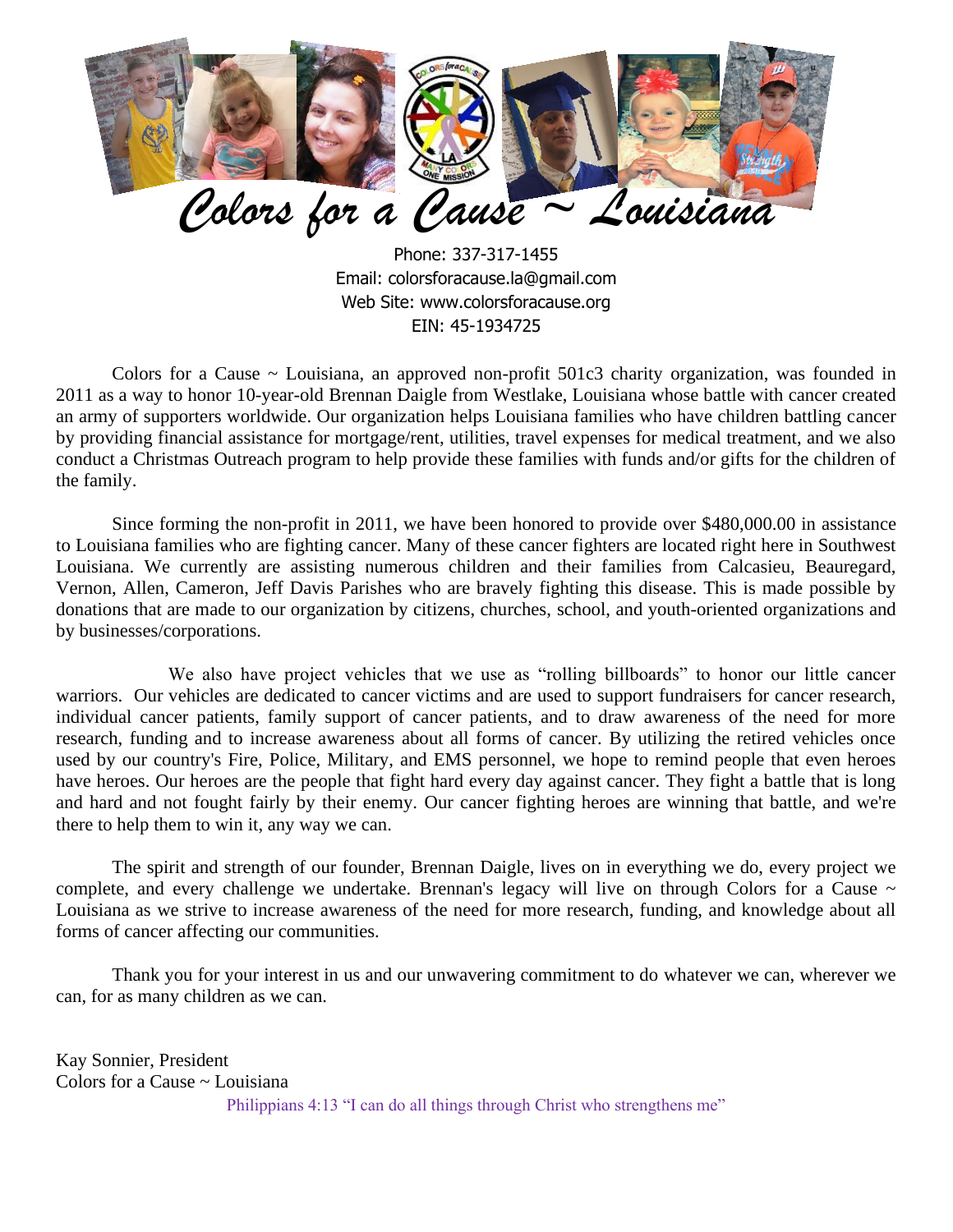

Phone: 337-317-1455 Email: [colorsforacause.la@gmail.com](mailto:la.colorsforacause@gmail.com) Web Site: www.colorsforacause.org EIN: 45-1934725

Colors for a Cause ~ Louisiana, an approved non-profit 501c3 charity organization, was founded in 2011 as a way to honor 10-year-old Brennan Daigle from Westlake, Louisiana whose battle with cancer created an army of supporters worldwide. Our organization helps Louisiana families who have children battling cancer by providing financial assistance for mortgage/rent, utilities, travel expenses for medical treatment, and we also conduct a Christmas Outreach program to help provide these families with funds and/or gifts for the children of the family.

Since forming the non-profit in 2011, we have been honored to provide over \$480,000.00 in assistance to Louisiana families who are fighting cancer. Many of these cancer fighters are located right here in Southwest Louisiana. We currently are assisting numerous children and their families from Calcasieu, Beauregard, Vernon, Allen, Cameron, Jeff Davis Parishes who are bravely fighting this disease. This is made possible by donations that are made to our organization by citizens, churches, school, and youth-oriented organizations and by businesses/corporations.

We also have project vehicles that we use as "rolling billboards" to honor our little cancer warriors. Our vehicles are dedicated to cancer victims and are used to support fundraisers for cancer research, individual cancer patients, family support of cancer patients, and to draw awareness of the need for more research, funding and to increase awareness about all forms of cancer. By utilizing the retired vehicles once used by our country's Fire, Police, Military, and EMS personnel, we hope to remind people that even heroes have heroes. Our heroes are the people that fight hard every day against cancer. They fight a battle that is long and hard and not fought fairly by their enemy. Our cancer fighting heroes are winning that battle, and we're there to help them to win it, any way we can.

The spirit and strength of our founder, Brennan Daigle, lives on in everything we do, every project we complete, and every challenge we undertake. Brennan's legacy will live on through Colors for a Cause  $\sim$ Louisiana as we strive to increase awareness of the need for more research, funding, and knowledge about all forms of cancer affecting our communities.

Thank you for your interest in us and our unwavering commitment to do whatever we can, wherever we can, for as many children as we can.

Kay Sonnier, President Colors for a Cause ~ Louisiana Philippians 4:13 "I can do all things through Christ who strengthens me"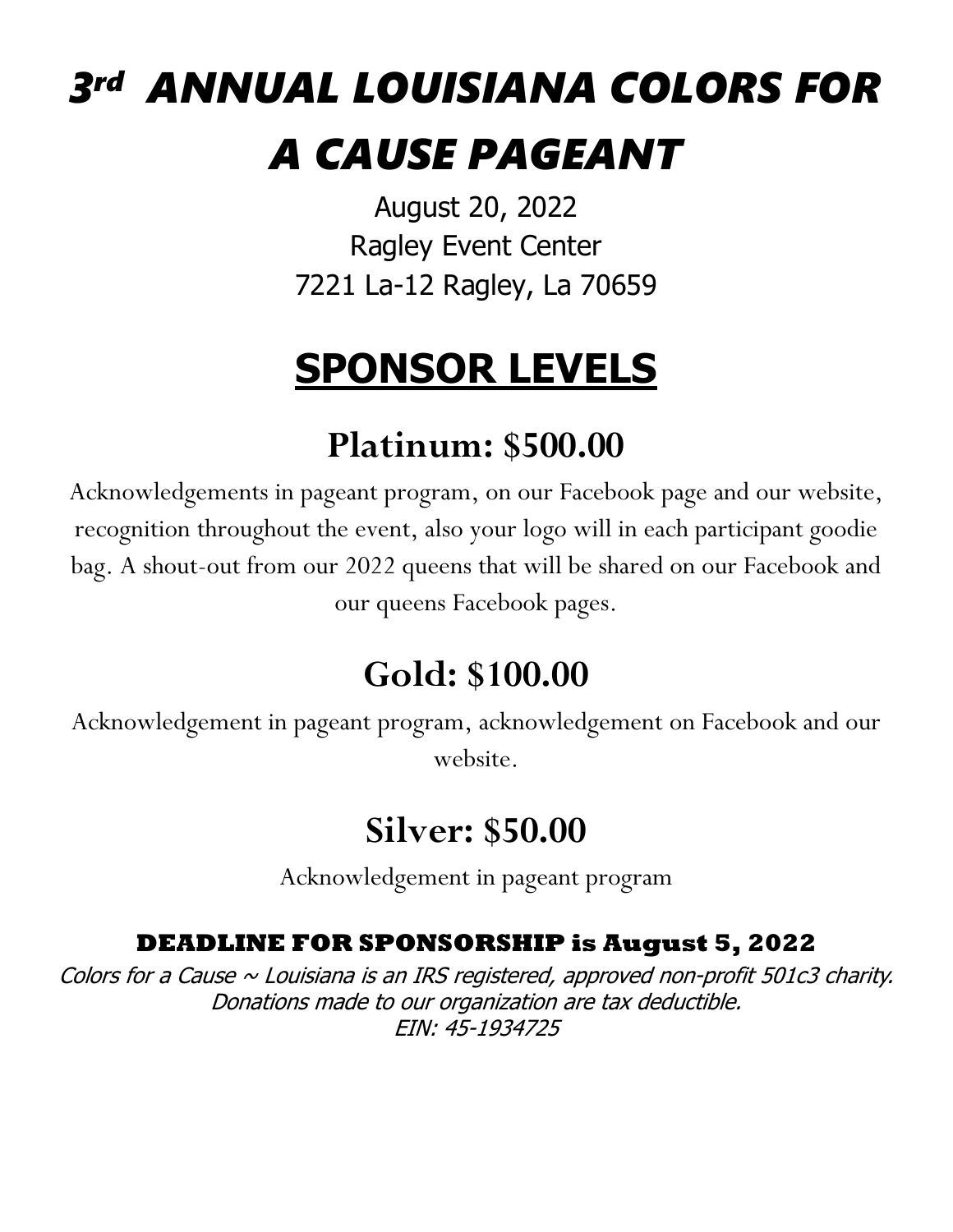# *3 rd ANNUAL LOUISIANA COLORS FOR A CAUSE PAGEANT*

August 20, 2022 Ragley Event Center 7221 La-12 Ragley, La 70659

## **SPONSOR LEVELS**

## **Platinum: \$500.00**

Acknowledgements in pageant program, on our Facebook page and our website, recognition throughout the event, also your logo will in each participant goodie bag. A shout-out from our 2022 queens that will be shared on our Facebook and our queens Facebook pages.

## **Gold: \$100.00**

Acknowledgement in pageant program, acknowledgement on Facebook and our website.

#### **Silver: \$50.00**

Acknowledgement in pageant program

#### **DEADLINE FOR SPONSORSHIP is August 5, 2022**

Colors for a Cause  $\sim$  Louisiana is an IRS registered, approved non-profit 501c3 charity. Donations made to our organization are tax deductible. EIN: 45-1934725